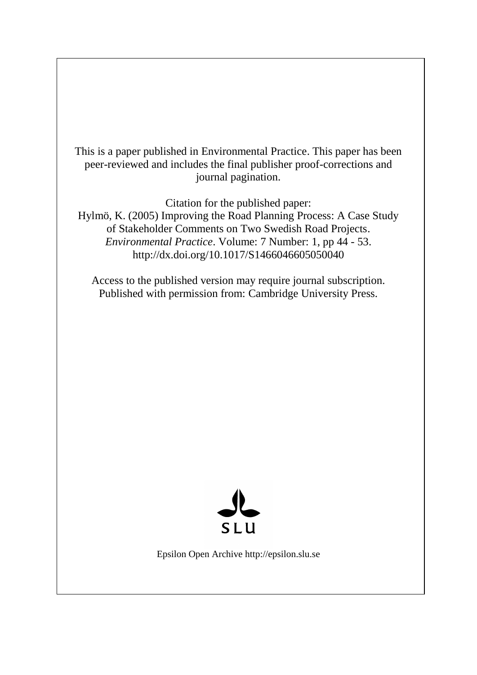This is a paper published in Environmental Practice. This paper has been peer-reviewed and includes the final publisher proof-corrections and journal pagination.

Citation for the published paper:

Hylmö, K. (2005) Improving the Road Planning Process: A Case Study of Stakeholder Comments on Two Swedish Road Projects. *Environmental Practice*. Volume: 7 Number: 1, pp 44 - 53. http://dx.doi.org/10.1017/S1466046605050040

Access to the published version may require journal subscription. Published with permission from: Cambridge University Press.



Epsilon Open Archive http://epsilon.slu.se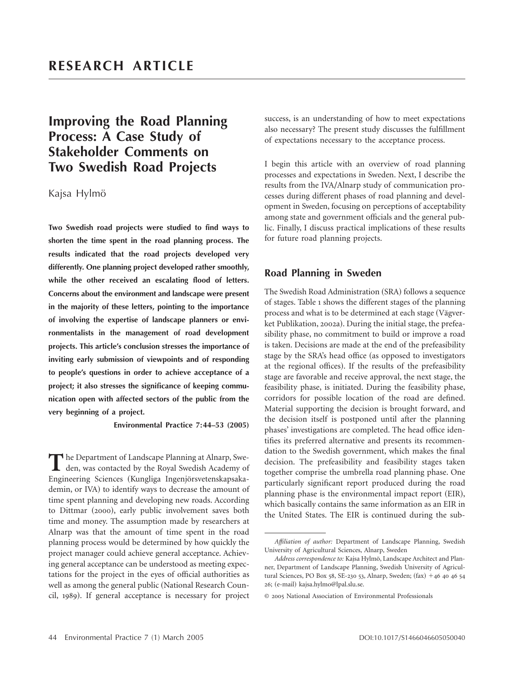# **Improving the Road Planning Process: A Case Study of Stakeholder Comments on Two Swedish Road Projects**

Kajsa Hylmö

**Two Swedish road projects were studied to find ways to shorten the time spent in the road planning process. The results indicated that the road projects developed very differently. One planning project developed rather smoothly, while the other received an escalating flood of letters. Concerns about the environment and landscape were present in the majority of these letters, pointing to the importance of involving the expertise of landscape planners or environmentalists in the management of road development projects. This article's conclusion stresses the importance of inviting early submission of viewpoints and of responding to people's questions in order to achieve acceptance of a project; it also stresses the significance of keeping communication open with affected sectors of the public from the very beginning of a project.**

**Environmental Practice 7:44–53 (2005)**

The Department of Landscape Planning at Alnarp, Sweden, was contacted by the Royal Swedish Academy of Engineering Sciences (Kungliga Ingenjörsvetenskapsakademin, or IVA) to identify ways to decrease the amount of time spent planning and developing new roads. According to Dittmar (2000), early public involvement saves both time and money. The assumption made by researchers at Alnarp was that the amount of time spent in the road planning process would be determined by how quickly the project manager could achieve general acceptance. Achieving general acceptance can be understood as meeting expectations for the project in the eyes of official authorities as well as among the general public (National Research Council, 1989). If general acceptance is necessary for project

success, is an understanding of how to meet expectations also necessary? The present study discusses the fulfillment of expectations necessary to the acceptance process.

I begin this article with an overview of road planning processes and expectations in Sweden. Next, I describe the results from the IVA/Alnarp study of communication processes during different phases of road planning and development in Sweden, focusing on perceptions of acceptability among state and government officials and the general public. Finally, I discuss practical implications of these results for future road planning projects.

# **Road Planning in Sweden**

The Swedish Road Administration (SRA) follows a sequence of stages. Table 1 shows the different stages of the planning process and what is to be determined at each stage (Vägverket Publikation, 2002a). During the initial stage, the prefeasibility phase, no commitment to build or improve a road is taken. Decisions are made at the end of the prefeasibility stage by the SRA's head office (as opposed to investigators at the regional offices). If the results of the prefeasibility stage are favorable and receive approval, the next stage, the feasibility phase, is initiated. During the feasibility phase, corridors for possible location of the road are defined. Material supporting the decision is brought forward, and the decision itself is postponed until after the planning phases' investigations are completed. The head office identifies its preferred alternative and presents its recommendation to the Swedish government, which makes the final decision. The prefeasibility and feasibility stages taken together comprise the umbrella road planning phase. One particularly significant report produced during the road planning phase is the environmental impact report (EIR), which basically contains the same information as an EIR in the United States. The EIR is continued during the sub-

*Affiliation of author:* Department of Landscape Planning, Swedish University of Agricultural Sciences, Alnarp, Sweden

*Address correspondence to:* Kajsa Hylmö, Landscape Architect and Planner, Department of Landscape Planning, Swedish University of Agricultural Sciences, PO Box 58, SE-230 53, Alnarp, Sweden;  $(fax) + 46$  40 46 54 26; (e-mail) kajsa.hylmo@lpal.slu.se.

<sup>©</sup> 2005 National Association of Environmental Professionals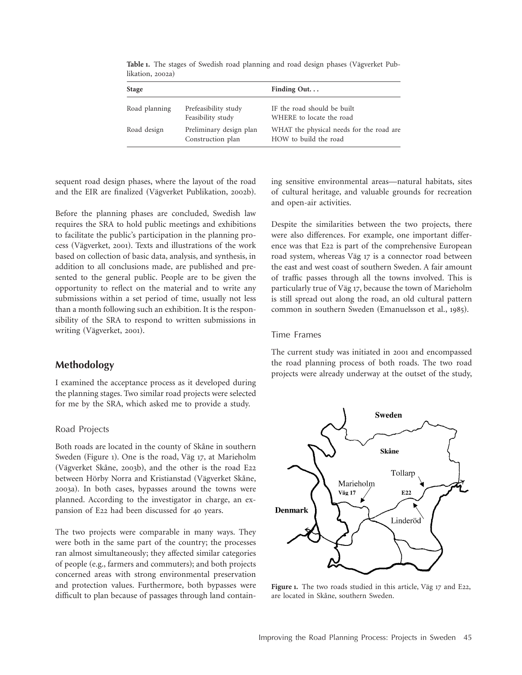| <b>Stage</b>  |                                              | Finding Out. $\ldots$                                             |
|---------------|----------------------------------------------|-------------------------------------------------------------------|
| Road planning | Prefeasibility study<br>Feasibility study    | IF the road should be built<br>WHERE to locate the road           |
| Road design   | Preliminary design plan<br>Construction plan | WHAT the physical needs for the road are<br>HOW to build the road |

Table 1. The stages of Swedish road planning and road design phases (Vägverket Publikation, 2002a)

sequent road design phases, where the layout of the road and the EIR are finalized (Vägverket Publikation, 2002b).

Before the planning phases are concluded, Swedish law requires the SRA to hold public meetings and exhibitions to facilitate the public's participation in the planning process (Vägverket, 2001). Texts and illustrations of the work based on collection of basic data, analysis, and synthesis, in addition to all conclusions made, are published and presented to the general public. People are to be given the opportunity to reflect on the material and to write any submissions within a set period of time, usually not less than a month following such an exhibition. It is the responsibility of the SRA to respond to written submissions in writing (Vägverket, 2001).

# **Methodology**

I examined the acceptance process as it developed during the planning stages. Two similar road projects were selected for me by the SRA, which asked me to provide a study.

#### Road Projects

Both roads are located in the county of Skåne in southern Sweden (Figure 1). One is the road, Väg 17, at Marieholm (Vägverket Skåne, 2003b), and the other is the road E22 between Hörby Norra and Kristianstad (Vägverket Skåne, 2003a). In both cases, bypasses around the towns were planned. According to the investigator in charge, an expansion of E22 had been discussed for 40 years.

The two projects were comparable in many ways. They were both in the same part of the country; the processes ran almost simultaneously; they affected similar categories of people (e.g., farmers and commuters); and both projects concerned areas with strong environmental preservation and protection values. Furthermore, both bypasses were difficult to plan because of passages through land containing sensitive environmental areas—natural habitats, sites of cultural heritage, and valuable grounds for recreation and open-air activities.

Despite the similarities between the two projects, there were also differences. For example, one important difference was that E22 is part of the comprehensive European road system, whereas Väg 17 is a connector road between the east and west coast of southern Sweden. A fair amount of traffic passes through all the towns involved. This is particularly true of Väg 17, because the town of Marieholm is still spread out along the road, an old cultural pattern common in southern Sweden (Emanuelsson et al., 1985).

#### Time Frames

The current study was initiated in 2001 and encompassed the road planning process of both roads. The two road projects were already underway at the outset of the study,



**Figure 1.** The two roads studied in this article, Väg 17 and E22, are located in Skåne, southern Sweden.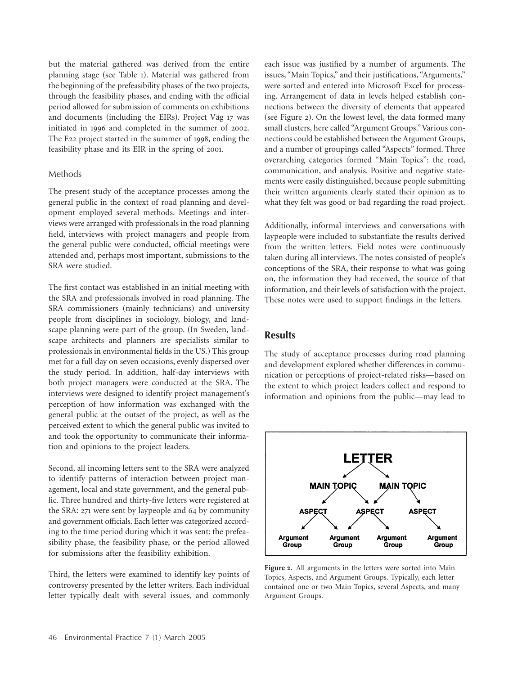but the material gathered was derived from the entire planning stage (see Table 1). Material was gathered from the beginning of the prefeasibility phases of the two projects, through the feasibility phases, and ending with the official period allowed for submission of comments on exhibitions and documents (including the EIRs). Project Väg 17 was initiated in 1996 and completed in the summer of 2002. The E22 project started in the summer of 1998, ending the feasibility phase and its EIR in the spring of 2001.

### Methods

The present study of the acceptance processes among the general public in the context of road planning and development employed several methods. Meetings and interviews were arranged with professionals in the road planning field, interviews with project managers and people from the general public were conducted, official meetings were attended and, perhaps most important, submissions to the SRA were studied.

The first contact was established in an initial meeting with the SRA and professionals involved in road planning. The SRA commissioners (mainly technicians) and university people from disciplines in sociology, biology, and landscape planning were part of the group. (In Sweden, landscape architects and planners are specialists similar to professionals in environmental fields in the US.) This group met for a full day on seven occasions, evenly dispersed over the study period. In addition, half-day interviews with both project managers were conducted at the SRA. The interviews were designed to identify project management's perception of how information was exchanged with the general public at the outset of the project, as well as the perceived extent to which the general public was invited to and took the opportunity to communicate their information and opinions to the project leaders.

Second, all incoming letters sent to the SRA were analyzed to identify patterns of interaction between project management, local and state government, and the general public. Three hundred and thirty-five letters were registered at the SRA: 271 were sent by laypeople and 64 by community and government officials. Each letter was categorized according to the time period during which it was sent: the prefeasibility phase, the feasibility phase, or the period allowed for submissions after the feasibility exhibition.

Third, the letters were examined to identify key points of controversy presented by the letter writers. Each individual letter typically dealt with several issues, and commonly each issue was justified by a number of arguments. The issues, "Main Topics," and their justifications, "Arguments," were sorted and entered into Microsoft Excel for processing. Arrangement of data in levels helped establish connections between the diversity of elements that appeared (see Figure 2). On the lowest level, the data formed many small clusters, here called "Argument Groups." Various connections could be established between the Argument Groups, and a number of groupings called "Aspects" formed. Three overarching categories formed "Main Topics": the road, communication, and analysis. Positive and negative statements were easily distinguished, because people submitting their written arguments clearly stated their opinion as to what they felt was good or bad regarding the road project.

Additionally, informal interviews and conversations with laypeople were included to substantiate the results derived from the written letters. Field notes were continuously taken during all interviews. The notes consisted of people's conceptions of the SRA, their response to what was going on, the information they had received, the source of that information, and their levels of satisfaction with the project. These notes were used to support findings in the letters.

### **Results**

The study of acceptance processes during road planning and development explored whether differences in communication or perceptions of project-related risks—based on the extent to which project leaders collect and respond to information and opinions from the public—may lead to



**Figure 2.** All arguments in the letters were sorted into Main Topics, Aspects, and Argument Groups. Typically, each letter contained one or two Main Topics, several Aspects, and many Argument Groups.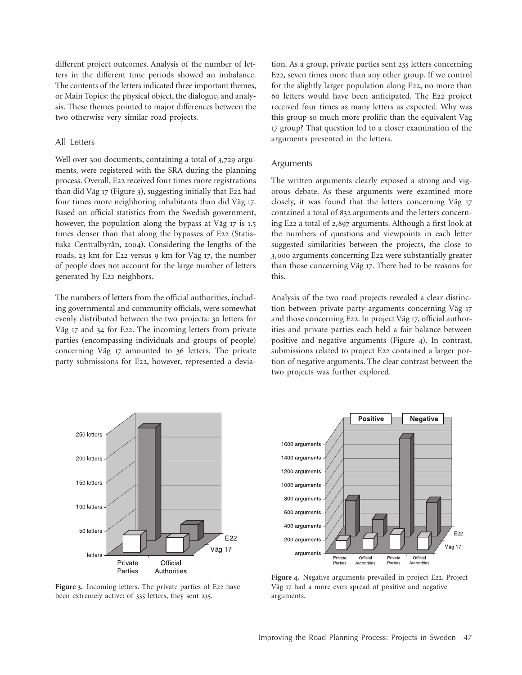different project outcomes. Analysis of the number of letters in the different time periods showed an imbalance. The contents of the letters indicated three important themes, or Main Topics: the physical object, the dialogue, and analysis. These themes pointed to major differences between the two otherwise very similar road projects.

#### All Letters

Well over 300 documents, containing a total of 3,729 arguments, were registered with the SRA during the planning process. Overall, E22 received four times more registrations than did Väg  $17$  (Figure 3), suggesting initially that E22 had four times more neighboring inhabitants than did Väg 17. Based on official statistics from the Swedish government, however, the population along the bypass at Väg 17 is 1.5 times denser than that along the bypasses of E22 (Statistiska Centralbyrån, 2004). Considering the lengths of the roads, 23 km for E22 versus 9 km for Väg 17, the number of people does not account for the large number of letters generated by E22 neighbors.

The numbers of letters from the official authorities, including governmental and community officials, were somewhat evenly distributed between the two projects: 30 letters for Väg 17 and 34 for E22. The incoming letters from private parties (encompassing individuals and groups of people) concerning Väg 17 amounted to 36 letters. The private party submissions for E22, however, represented a deviation. As a group, private parties sent 235 letters concerning E22, seven times more than any other group. If we control for the slightly larger population along E22, no more than 60 letters would have been anticipated. The E22 project received four times as many letters as expected. Why was this group so much more prolific than the equivalent Väg 17 group? That question led to a closer examination of the arguments presented in the letters.

#### Arguments

The written arguments clearly exposed a strong and vigorous debate. As these arguments were examined more closely, it was found that the letters concerning Väg 17 contained a total of 832 arguments and the letters concerning E22 a total of 2,897 arguments. Although a first look at the numbers of questions and viewpoints in each letter suggested similarities between the projects, the close to 3,000 arguments concerning E22 were substantially greater than those concerning Väg 17. There had to be reasons for this.

Analysis of the two road projects revealed a clear distinction between private party arguments concerning Väg 17 and those concerning E22. In project Väg 17, official authorities and private parties each held a fair balance between positive and negative arguments (Figure 4). In contrast, submissions related to project E22 contained a larger portion of negative arguments. The clear contrast between the two projects was further explored.



**Figure 3.** Incoming letters. The private parties of E22 have been extremely active: of 335 letters, they sent 235.



Figure 4. Negative arguments prevailed in project E22. Project Väg 17 had a more even spread of positive and negative arguments.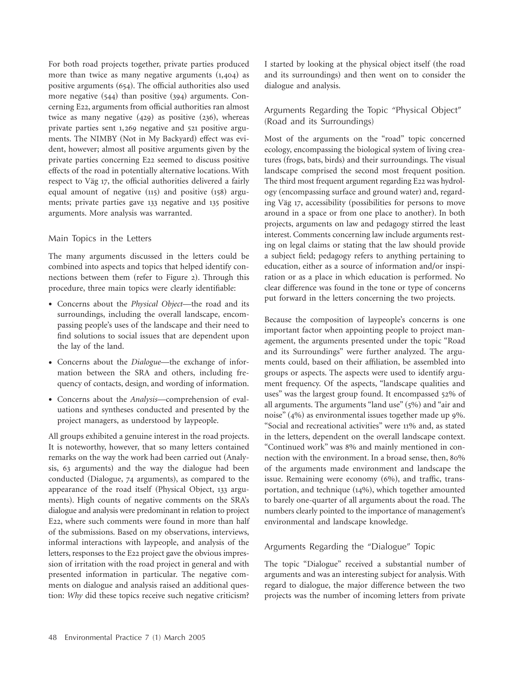For both road projects together, private parties produced more than twice as many negative arguments  $(1,404)$  as positive arguments  $(654)$ . The official authorities also used more negative  $(544)$  than positive  $(394)$  arguments. Concerning E22, arguments from official authorities ran almost twice as many negative  $(429)$  as positive  $(236)$ , whereas private parties sent 1,269 negative and 521 positive arguments. The NIMBY (Not in My Backyard) effect was evident, however; almost all positive arguments given by the private parties concerning E22 seemed to discuss positive effects of the road in potentially alternative locations. With respect to Väg 17, the official authorities delivered a fairly equal amount of negative  $(115)$  and positive  $(158)$  arguments; private parties gave 133 negative and 135 positive arguments. More analysis was warranted.

#### Main Topics in the Letters

The many arguments discussed in the letters could be combined into aspects and topics that helped identify connections between them (refer to Figure 2). Through this procedure, three main topics were clearly identifiable:

- Concerns about the *Physical Object*—the road and its surroundings, including the overall landscape, encompassing people's uses of the landscape and their need to find solutions to social issues that are dependent upon the lay of the land.
- Concerns about the *Dialogue*—the exchange of information between the SRA and others, including frequency of contacts, design, and wording of information.
- Concerns about the *Analysis*—comprehension of evaluations and syntheses conducted and presented by the project managers, as understood by laypeople.

All groups exhibited a genuine interest in the road projects. It is noteworthy, however, that so many letters contained remarks on the way the work had been carried out (Analysis, 63 arguments) and the way the dialogue had been conducted (Dialogue,  $74$  arguments), as compared to the appearance of the road itself (Physical Object,  $133$  arguments). High counts of negative comments on the SRA's dialogue and analysis were predominant in relation to project E22, where such comments were found in more than half of the submissions. Based on my observations, interviews, informal interactions with laypeople, and analysis of the letters, responses to the E22 project gave the obvious impression of irritation with the road project in general and with presented information in particular. The negative comments on dialogue and analysis raised an additional question: *Why* did these topics receive such negative criticism?

I started by looking at the physical object itself (the road and its surroundings) and then went on to consider the dialogue and analysis.

### Arguments Regarding the Topic "Physical Object" (Road and its Surroundings)

Most of the arguments on the "road" topic concerned ecology, encompassing the biological system of living creatures (frogs, bats, birds) and their surroundings. The visual landscape comprised the second most frequent position. The third most frequent argument regarding E22 was hydrology (encompassing surface and ground water) and, regarding Väg 17, accessibility (possibilities for persons to move around in a space or from one place to another). In both projects, arguments on law and pedagogy stirred the least interest. Comments concerning law include arguments resting on legal claims or stating that the law should provide a subject field; pedagogy refers to anything pertaining to education, either as a source of information and/or inspiration or as a place in which education is performed. No clear difference was found in the tone or type of concerns put forward in the letters concerning the two projects.

Because the composition of laypeople's concerns is one important factor when appointing people to project management, the arguments presented under the topic "Road and its Surroundings" were further analyzed. The arguments could, based on their affiliation, be assembled into groups or aspects. The aspects were used to identify argument frequency. Of the aspects, "landscape qualities and uses" was the largest group found. It encompassed 52% of all arguments. The arguments "land use"  $(5%)$  and "air and noise"  $(4\%)$  as environmental issues together made up 9%. "Social and recreational activities" were 11% and, as stated in the letters, dependent on the overall landscape context. "Continued work" was 8% and mainly mentioned in connection with the environment. In a broad sense, then, 80% of the arguments made environment and landscape the issue. Remaining were economy  $(6%)$ , and traffic, transportation, and technique  $(14%)$ , which together amounted to barely one-quarter of all arguments about the road. The numbers clearly pointed to the importance of management's environmental and landscape knowledge.

#### Arguments Regarding the "Dialogue" Topic

The topic "Dialogue" received a substantial number of arguments and was an interesting subject for analysis. With regard to dialogue, the major difference between the two projects was the number of incoming letters from private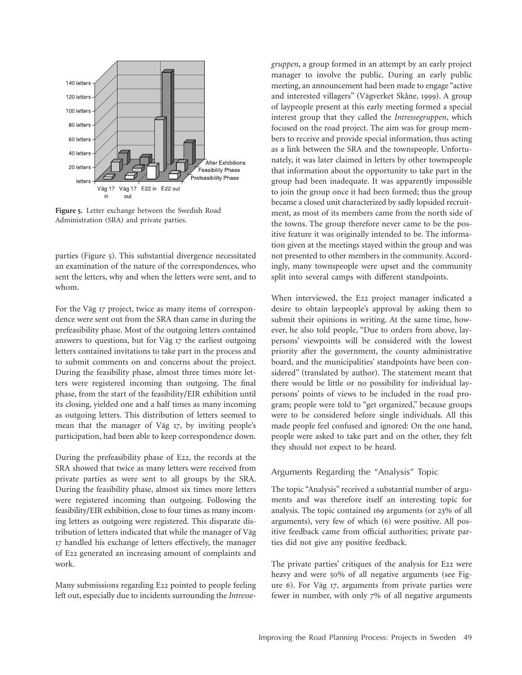

**Figure 5.** Letter exchange between the Swedish Road Administration (SRA) and private parties.

parties (Figure  $\frac{1}{2}$ ). This substantial divergence necessitated an examination of the nature of the correspondences, who sent the letters, why and when the letters were sent, and to whom.

For the Väg 17 project, twice as many items of correspondence were sent out from the SRA than came in during the prefeasibility phase. Most of the outgoing letters contained answers to questions, but for Väg 17 the earliest outgoing letters contained invitations to take part in the process and to submit comments on and concerns about the project. During the feasibility phase, almost three times more letters were registered incoming than outgoing. The final phase, from the start of the feasibility/EIR exhibition until its closing, yielded one and a half times as many incoming as outgoing letters. This distribution of letters seemed to mean that the manager of Väg 17, by inviting people's participation, had been able to keep correspondence down.

During the prefeasibility phase of E22, the records at the SRA showed that twice as many letters were received from private parties as were sent to all groups by the SRA. During the feasibility phase, almost six times more letters were registered incoming than outgoing. Following the feasibility/EIR exhibition, close to four times as many incoming letters as outgoing were registered. This disparate distribution of letters indicated that while the manager of Väg 17 handled his exchange of letters effectively, the manager of E22 generated an increasing amount of complaints and work.

Many submissions regarding E22 pointed to people feeling left out, especially due to incidents surrounding the *Intresse-* *gruppen*, a group formed in an attempt by an early project manager to involve the public. During an early public meeting, an announcement had been made to engage "active and interested villagers" (Vägverket Skåne, 1999). A group of laypeople present at this early meeting formed a special interest group that they called the *Intressegruppen*, which focused on the road project. The aim was for group members to receive and provide special information, thus acting as a link between the SRA and the townspeople. Unfortunately, it was later claimed in letters by other townspeople that information about the opportunity to take part in the group had been inadequate. It was apparently impossible to join the group once it had been formed; thus the group became a closed unit characterized by sadly lopsided recruitment, as most of its members came from the north side of the towns. The group therefore never came to be the positive feature it was originally intended to be. The information given at the meetings stayed within the group and was not presented to other members in the community. Accordingly, many townspeople were upset and the community split into several camps with different standpoints.

When interviewed, the E22 project manager indicated a desire to obtain laypeople's approval by asking them to submit their opinions in writing. At the same time, however, he also told people, "Due to orders from above, laypersons' viewpoints will be considered with the lowest priority after the government, the county administrative board, and the municipalities' standpoints have been considered" (translated by author). The statement meant that there would be little or no possibility for individual laypersons' points of views to be included in the road program; people were told to "get organized," because groups were to be considered before single individuals. All this made people feel confused and ignored: On the one hand, people were asked to take part and on the other, they felt they should not expect to be heard.

#### Arguments Regarding the "Analysis" Topic

The topic "Analysis" received a substantial number of arguments and was therefore itself an interesting topic for analysis. The topic contained 169 arguments (or  $23%$  of all arguments), very few of which  $(6)$  were positive. All positive feedback came from official authorities; private parties did not give any positive feedback.

The private parties' critiques of the analysis for E22 were heavy and were  $50\%$  of all negative arguments (see Figure 6). For Väg 17, arguments from private parties were fewer in number, with only 7% of all negative arguments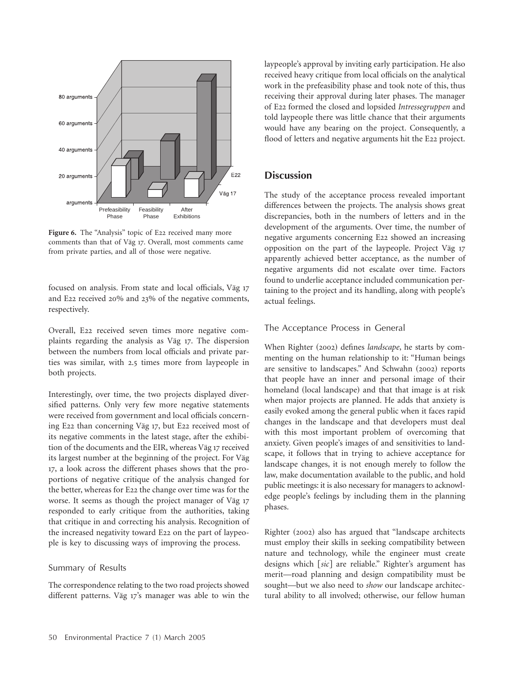

**Figure 6.** The "Analysis" topic of E22 received many more comments than that of Väg 17. Overall, most comments came from private parties, and all of those were negative.

focused on analysis. From state and local officials, Väg 17 and E22 received 20% and 23% of the negative comments, respectively.

Overall, E22 received seven times more negative complaints regarding the analysis as Väg 17. The dispersion between the numbers from local officials and private parties was similar, with 2.5 times more from laypeople in both projects.

Interestingly, over time, the two projects displayed diversified patterns. Only very few more negative statements were received from government and local officials concerning E22 than concerning Väg 17, but E22 received most of its negative comments in the latest stage, after the exhibition of the documents and the EIR, whereas Väg 17 received its largest number at the beginning of the project. For Väg 17, a look across the different phases shows that the proportions of negative critique of the analysis changed for the better, whereas for E22 the change over time was for the worse. It seems as though the project manager of Väg 17 responded to early critique from the authorities, taking that critique in and correcting his analysis. Recognition of the increased negativity toward E22 on the part of laypeople is key to discussing ways of improving the process.

#### Summary of Results

The correspondence relating to the two road projects showed different patterns. Väg 17's manager was able to win the laypeople's approval by inviting early participation. He also received heavy critique from local officials on the analytical work in the prefeasibility phase and took note of this, thus receiving their approval during later phases. The manager of E22 formed the closed and lopsided *Intressegruppen* and told laypeople there was little chance that their arguments would have any bearing on the project. Consequently, a flood of letters and negative arguments hit the E22 project.

# **Discussion**

The study of the acceptance process revealed important differences between the projects. The analysis shows great discrepancies, both in the numbers of letters and in the development of the arguments. Over time, the number of negative arguments concerning E22 showed an increasing opposition on the part of the laypeople. Project Väg 17 apparently achieved better acceptance, as the number of negative arguments did not escalate over time. Factors found to underlie acceptance included communication pertaining to the project and its handling, along with people's actual feelings.

#### The Acceptance Process in General

When Righter (2002) defines *landscape*, he starts by commenting on the human relationship to it: "Human beings are sensitive to landscapes." And Schwahn (2002) reports that people have an inner and personal image of their homeland (local landscape) and that that image is at risk when major projects are planned. He adds that anxiety is easily evoked among the general public when it faces rapid changes in the landscape and that developers must deal with this most important problem of overcoming that anxiety. Given people's images of and sensitivities to landscape, it follows that in trying to achieve acceptance for landscape changes, it is not enough merely to follow the law, make documentation available to the public, and hold public meetings: it is also necessary for managers to acknowledge people's feelings by including them in the planning phases.

Righter (2002) also has argued that "landscape architects must employ their skills in seeking compatibility between nature and technology, while the engineer must create designs which [sic] are reliable." Righter's argument has merit—road planning and design compatibility must be sought—but we also need to *show* our landscape architectural ability to all involved; otherwise, our fellow human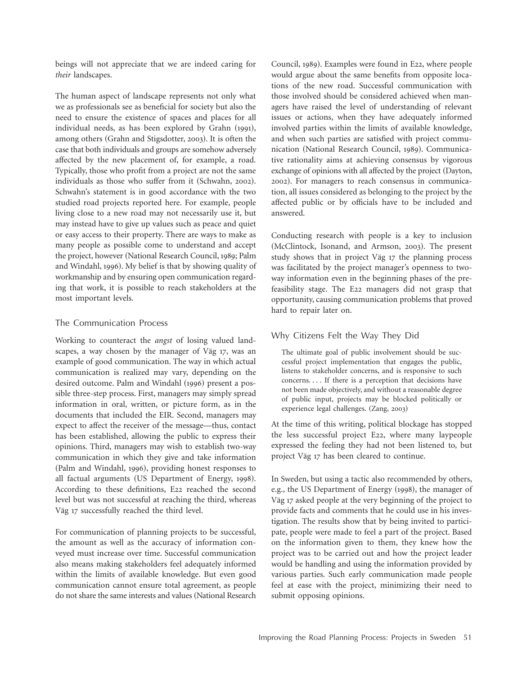beings will not appreciate that we are indeed caring for *their* landscapes.

The human aspect of landscape represents not only what we as professionals see as beneficial for society but also the need to ensure the existence of spaces and places for all individual needs, as has been explored by Grahn (1991), among others (Grahn and Stigsdotter, 2003). It is often the case that both individuals and groups are somehow adversely affected by the new placement of, for example, a road. Typically, those who profit from a project are not the same individuals as those who suffer from it (Schwahn, 2002). Schwahn's statement is in good accordance with the two studied road projects reported here. For example, people living close to a new road may not necessarily use it, but may instead have to give up values such as peace and quiet or easy access to their property. There are ways to make as many people as possible come to understand and accept the project, however (National Research Council, 1989; Palm and Windahl, 1996). My belief is that by showing quality of workmanship and by ensuring open communication regarding that work, it is possible to reach stakeholders at the most important levels.

#### The Communication Process

Working to counteract the *angst* of losing valued landscapes, a way chosen by the manager of Väg 17, was an example of good communication. The way in which actual communication is realized may vary, depending on the desired outcome. Palm and Windahl (1996) present a possible three-step process. First, managers may simply spread information in oral, written, or picture form, as in the documents that included the EIR. Second, managers may expect to affect the receiver of the message—thus, contact has been established, allowing the public to express their opinions. Third, managers may wish to establish two-way communication in which they give and take information (Palm and Windahl, 1996), providing honest responses to all factual arguments (US Department of Energy, 1998). According to these definitions, E22 reached the second level but was not successful at reaching the third, whereas Väg 17 successfully reached the third level.

For communication of planning projects to be successful, the amount as well as the accuracy of information conveyed must increase over time. Successful communication also means making stakeholders feel adequately informed within the limits of available knowledge. But even good communication cannot ensure total agreement, as people do not share the same interests and values (National Research Council, 1989). Examples were found in E22, where people would argue about the same benefits from opposite locations of the new road. Successful communication with those involved should be considered achieved when managers have raised the level of understanding of relevant issues or actions, when they have adequately informed involved parties within the limits of available knowledge, and when such parties are satisfied with project communication (National Research Council, 1989). Communicative rationality aims at achieving consensus by vigorous exchange of opinions with all affected by the project (Dayton, 2002). For managers to reach consensus in communication, all issues considered as belonging to the project by the affected public or by officials have to be included and answered.

Conducting research with people is a key to inclusion (McClintock, Isonand, and Armson, 2003). The present study shows that in project Väg 17 the planning process was facilitated by the project manager's openness to twoway information even in the beginning phases of the prefeasibility stage. The E22 managers did not grasp that opportunity, causing communication problems that proved hard to repair later on.

### Why Citizens Felt the Way They Did

The ultimate goal of public involvement should be successful project implementation that engages the public, listens to stakeholder concerns, and is responsive to such concerns. . . . If there is a perception that decisions have not been made objectively, and without a reasonable degree of public input, projects may be blocked politically or experience legal challenges. (Zang, 2003)

At the time of this writing, political blockage has stopped the less successful project E22, where many laypeople expressed the feeling they had not been listened to, but project Väg 17 has been cleared to continue.

In Sweden, but using a tactic also recommended by others, e.g., the US Department of Energy (1998), the manager of Väg 17 asked people at the very beginning of the project to provide facts and comments that he could use in his investigation. The results show that by being invited to participate, people were made to feel a part of the project. Based on the information given to them, they knew how the project was to be carried out and how the project leader would be handling and using the information provided by various parties. Such early communication made people feel at ease with the project, minimizing their need to submit opposing opinions.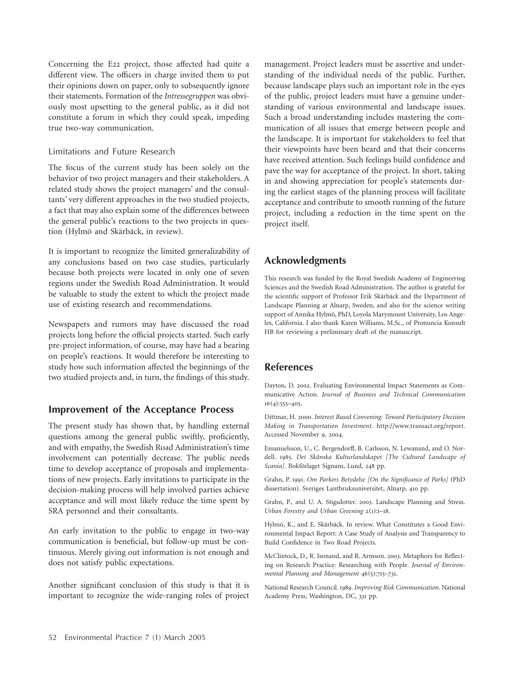Concerning the E22 project, those affected had quite a different view. The officers in charge invited them to put their opinions down on paper, only to subsequently ignore their statements. Formation of the *Intressegruppen* was obviously most upsetting to the general public, as it did not constitute a forum in which they could speak, impeding true two-way communication.

# Limitations and Future Research

The focus of the current study has been solely on the behavior of two project managers and their stakeholders. A related study shows the project managers' and the consultants' very different approaches in the two studied projects, a fact that may also explain some of the differences between the general public's reactions to the two projects in question (Hylmö and Skärbäck, in review).

It is important to recognize the limited generalizability of any conclusions based on two case studies, particularly because both projects were located in only one of seven regions under the Swedish Road Administration. It would be valuable to study the extent to which the project made use of existing research and recommendations.

Newspapers and rumors may have discussed the road projects long before the official projects started. Such early pre-project information, of course, may have had a bearing on people's reactions. It would therefore be interesting to study how such information affected the beginnings of the two studied projects and, in turn, the findings of this study.

# **Improvement of the Acceptance Process**

The present study has shown that, by handling external questions among the general public swiftly, proficiently, and with empathy, the Swedish Road Administration's time involvement can potentially decrease. The public needs time to develop acceptance of proposals and implementations of new projects. Early invitations to participate in the decision-making process will help involved parties achieve acceptance and will most likely reduce the time spent by SRA personnel and their consultants.

An early invitation to the public to engage in two-way communication is beneficial, but follow-up must be continuous. Merely giving out information is not enough and does not satisfy public expectations.

Another significant conclusion of this study is that it is important to recognize the wide-ranging roles of project management. Project leaders must be assertive and understanding of the individual needs of the public. Further, because landscape plays such an important role in the eyes of the public, project leaders must have a genuine understanding of various environmental and landscape issues. Such a broad understanding includes mastering the communication of all issues that emerge between people and the landscape. It is important for stakeholders to feel that their viewpoints have been heard and that their concerns have received attention. Such feelings build confidence and pave the way for acceptance of the project. In short, taking in and showing appreciation for people's statements during the earliest stages of the planning process will facilitate acceptance and contribute to smooth running of the future project, including a reduction in the time spent on the project itself.

# **Acknowledgments**

This research was funded by the Royal Swedish Academy of Engineering Sciences and the Swedish Road Administration. The author is grateful for the scientific support of Professor Erik Skärbäck and the Department of Landscape Planning at Alnarp, Sweden, and also for the science writing support of Annika Hylmö, PhD, Loyola Marymount University, Los Angeles, California. I also thank Karen Williams, M.Sc., of Pronuncia Konsult HB for reviewing a preliminary draft of the manuscript.

# **References**

Dayton, D. 2002. Evaluating Environmental Impact Statements as Communicative Action. *Journal of Business and Technical Communication*  $16(4):355-405.$ 

Dittmar, H. 2000. *Interest Based Convening: Toward Participatory Decision Making in Transportation Investment*. http://www.transact.org/report. Accessed November 9, 2004.

Emanuelsson, U., C. Bergendorff, B. Carlsson, N. Lewanand, and O. Nordell. 1985. *Det Skånska Kulturlandskapet [The Cultural Landscape of Scania]*. Bokförlaget Signum, Lund, 248 pp.

Grahn, P. 1991. *Om Parkers Betydelse [On the Significance of Parks]* (PhD dissertation). Sveriges Lantbruksuniversitet, Alnarp, 410 pp.

Grahn, P., and U. A. Stigsdotter. 2003. Landscape Planning and Stress. *Urban Forestry and Urban Greening*  $2(1):1-18$ .

Hylmö, K., and E. Skärbäck. In review. What Constitutes a Good Environmental Impact Report: A Case Study of Analysis and Transparency to Build Confidence in Two Road Projects.

McClintock, D., R. Isonand, and R. Armson. 2003. Metaphors for Reflecting on Research Practice: Researching with People. *Journal of Environmental Planning and Management* 46(5):715–731.

National Research Council. 1989. *Improving Risk Communication*. National Academy Press, Washington, DC, 331 pp.